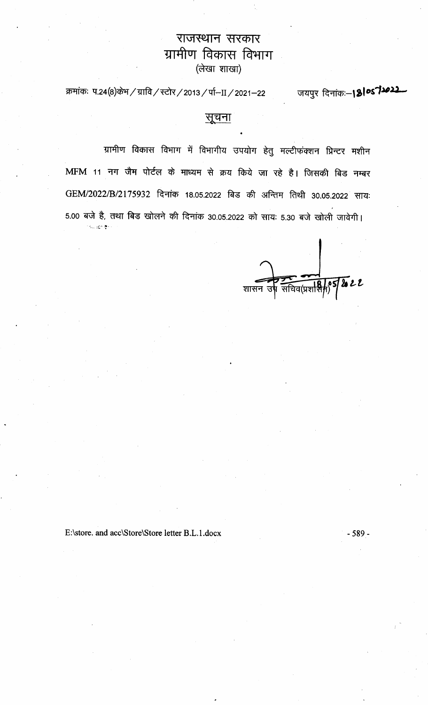# राजस्थान सरकार विकास विभाग ग्रामोण (लेखा शाखा)

क्रमांकः प.24(8)केभ / ग्रावि / स्टोर / 2013 / र्पा-II / 2021-22

जयपुर दिनांक:-1810572022



ग्रामीण विकास विभाग में विभागीय उपयोग हेतु मल्टीफंक्शन प्रिन्टर मशीन MFM 11 नग जैम पोर्टल के माध्यम से क्रय किये जा रहे है। जिसकी बिड नम्बर

# GEM/2022/B/2175932 दिनांक 18.05.2022 बिड की अन्तिम तिथी 30.05.2022 सायः 5.00 बजे है, तथा बिड खोलने की दिनांक 30.05.2022 को सायः 5.30 बजे खोली जावेगी। 不如 细胞囊化

,他们的人都是不是一个人,他们的人都是不是一个人,他们的人都是不是一个人,他们的人都是不是一个人,他们的人都是不是一个人,他们的人都是不是一个人,他们的人都是不<br>第159章 我们的人,他们的人都是不是一个人,他们的人都是不是一个人,他们的人都是不是一个人,他们的人都是不是一个人,他们的人都是不是一个人,他们的人都是不是一



 $-589-$ 

E:\store. and acc\Store\Store letter B.L.1.docx

the contract of the contract of the contract of the 

 $\mathcal{L}(\mathcal{L}(\mathcal{L}(\mathcal{L}(\mathcal{L}(\mathcal{L}(\mathcal{L}(\mathcal{L}(\mathcal{L}(\mathcal{L}(\mathcal{L}(\mathcal{L}(\mathcal{L}(\mathcal{L}(\mathcal{L}(\mathcal{L}(\mathcal{L}(\mathcal{L}(\mathcal{L}(\mathcal{L}(\mathcal{L}(\mathcal{L}(\mathcal{L}(\mathcal{L}(\mathcal{L}(\mathcal{L}(\mathcal{L}(\mathcal{L}(\mathcal{L}(\mathcal{L}(\mathcal{L}(\mathcal{L}(\mathcal{L}(\mathcal{L}(\mathcal{L}(\mathcal{L}(\mathcal{$ the contract of the contract of the contract of the contract of the contract of the contract of the contract of the contract of the contract of the contract of the contract of the contract of the  $\mathcal{L}(\mathcal{L}(\mathcal{L}(\mathcal{L}(\mathcal{L}(\mathcal{L}(\mathcal{L}(\mathcal{L}(\mathcal{L}(\mathcal{L}(\mathcal{L}(\mathcal{L}(\mathcal{L}(\mathcal{L}(\mathcal{L}(\mathcal{L}(\mathcal{L}(\mathcal{L}(\mathcal{L}(\mathcal{L}(\mathcal{L}(\mathcal{L}(\mathcal{L}(\mathcal{L}(\mathcal{L}(\mathcal{L}(\mathcal{L}(\mathcal{L}(\mathcal{L}(\mathcal{L}(\mathcal{L}(\mathcal{L}(\mathcal{L}(\mathcal{L}(\mathcal{L}(\mathcal{L}(\mathcal{$ 

 $\mathcal{L}(\mathcal{L}(\mathcal{L}(\mathcal{L}(\mathcal{L}(\mathcal{L}(\mathcal{L}(\mathcal{L}(\mathcal{L}(\mathcal{L}(\mathcal{L}(\mathcal{L}(\mathcal{L}(\mathcal{L}(\mathcal{L}(\mathcal{L}(\mathcal{L}(\mathcal{L}(\mathcal{L}(\mathcal{L}(\mathcal{L}(\mathcal{L}(\mathcal{L}(\mathcal{L}(\mathcal{L}(\mathcal{L}(\mathcal{L}(\mathcal{L}(\mathcal{L}(\mathcal{L}(\mathcal{L}(\mathcal{L}(\mathcal{L}(\mathcal{L}(\mathcal{L}(\mathcal{L}(\mathcal{$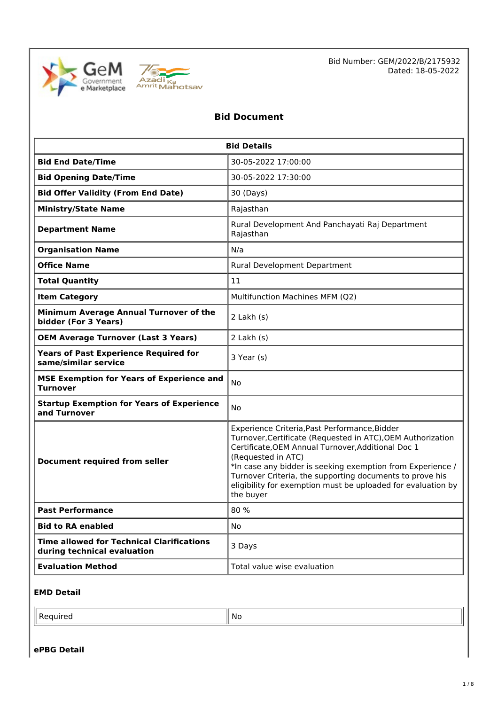



### **Bid Document**

| <b>Bid Details</b>                                                              |                                                                                                                                                                                                                                                                                                                                                                                                 |  |
|---------------------------------------------------------------------------------|-------------------------------------------------------------------------------------------------------------------------------------------------------------------------------------------------------------------------------------------------------------------------------------------------------------------------------------------------------------------------------------------------|--|
| <b>Bid End Date/Time</b>                                                        | 30-05-2022 17:00:00                                                                                                                                                                                                                                                                                                                                                                             |  |
| <b>Bid Opening Date/Time</b>                                                    | 30-05-2022 17:30:00                                                                                                                                                                                                                                                                                                                                                                             |  |
| <b>Bid Offer Validity (From End Date)</b>                                       | 30 (Days)                                                                                                                                                                                                                                                                                                                                                                                       |  |
| <b>Ministry/State Name</b>                                                      | Rajasthan                                                                                                                                                                                                                                                                                                                                                                                       |  |
| <b>Department Name</b>                                                          | Rural Development And Panchayati Raj Department<br>Rajasthan                                                                                                                                                                                                                                                                                                                                    |  |
| <b>Organisation Name</b>                                                        | N/a                                                                                                                                                                                                                                                                                                                                                                                             |  |
| <b>Office Name</b>                                                              | Rural Development Department                                                                                                                                                                                                                                                                                                                                                                    |  |
| <b>Total Quantity</b>                                                           | 11                                                                                                                                                                                                                                                                                                                                                                                              |  |
| <b>Item Category</b>                                                            | Multifunction Machines MFM (Q2)                                                                                                                                                                                                                                                                                                                                                                 |  |
| Minimum Average Annual Turnover of the<br>bidder (For 3 Years)                  | $2$ Lakh $(s)$                                                                                                                                                                                                                                                                                                                                                                                  |  |
| <b>OEM Average Turnover (Last 3 Years)</b>                                      | 2 Lakh (s)                                                                                                                                                                                                                                                                                                                                                                                      |  |
| <b>Years of Past Experience Required for</b><br>same/similar service            | 3 Year (s)                                                                                                                                                                                                                                                                                                                                                                                      |  |
| <b>MSE Exemption for Years of Experience and</b><br><b>Turnover</b>             | <b>No</b>                                                                                                                                                                                                                                                                                                                                                                                       |  |
| <b>Startup Exemption for Years of Experience</b><br>and Turnover                | No.                                                                                                                                                                                                                                                                                                                                                                                             |  |
| <b>Document required from seller</b>                                            | Experience Criteria, Past Performance, Bidder<br>Turnover, Certificate (Requested in ATC), OEM Authorization<br>Certificate, OEM Annual Turnover, Additional Doc 1<br>(Requested in ATC)<br>*In case any bidder is seeking exemption from Experience /<br>Turnover Criteria, the supporting documents to prove his<br>eligibility for exemption must be uploaded for evaluation by<br>the buyer |  |
| <b>Past Performance</b>                                                         | 80%                                                                                                                                                                                                                                                                                                                                                                                             |  |
| <b>Bid to RA enabled</b>                                                        | No                                                                                                                                                                                                                                                                                                                                                                                              |  |
| <b>Time allowed for Technical Clarifications</b><br>during technical evaluation | 3 Days                                                                                                                                                                                                                                                                                                                                                                                          |  |
| <b>Evaluation Method</b>                                                        | Total value wise evaluation                                                                                                                                                                                                                                                                                                                                                                     |  |

### **EMD Detail**

| Ð | <b>No</b> |
|---|-----------|
|   |           |
|   |           |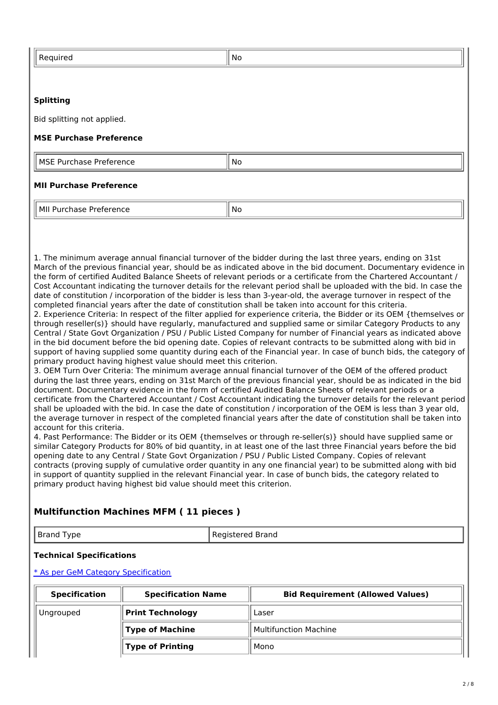| Required                       | No                                                                                                         |  |
|--------------------------------|------------------------------------------------------------------------------------------------------------|--|
|                                |                                                                                                            |  |
| <b>Splitting</b>               |                                                                                                            |  |
| Bid splitting not applied.     |                                                                                                            |  |
| <b>MSE Purchase Preference</b> |                                                                                                            |  |
| MSE Purchase Preference        | No                                                                                                         |  |
| <b>MII Purchase Preference</b> |                                                                                                            |  |
| MII Purchase Preference        | No                                                                                                         |  |
|                                |                                                                                                            |  |
|                                | 1. The minimum average annual financial turnover of the bidder during the last three years, ending on 31st |  |

ninimum average annual financial turnover of the bidder during the last three  $\cdot$ March of the previous financial year, should be as indicated above in the bid document. Documentary evidence in the form of certified Audited Balance Sheets of relevant periods or a certificate from the Chartered Accountant / Cost Accountant indicating the turnover details for the relevant period shall be uploaded with the bid. In case the date of constitution / incorporation of the bidder is less than 3-year-old, the average turnover in respect of the completed financial years after the date of constitution shall be taken into account for this criteria.

2. Experience Criteria: In respect of the filter applied for experience criteria, the Bidder or its OEM {themselves or through reseller(s)} should have regularly, manufactured and supplied same or similar Category Products to any Central / State Govt Organization / PSU / Public Listed Company for number of Financial years as indicated above in the bid document before the bid opening date. Copies of relevant contracts to be submitted along with bid in support of having supplied some quantity during each of the Financial year. In case of bunch bids, the category of primary product having highest value should meet this criterion.

3. OEM Turn Over Criteria: The minimum average annual financial turnover of the OEM of the offered product during the last three years, ending on 31st March of the previous financial year, should be as indicated in the bid document. Documentary evidence in the form of certified Audited Balance Sheets of relevant periods or a certificate from the Chartered Accountant / Cost Accountant indicating the turnover details for the relevant period shall be uploaded with the bid. In case the date of constitution / incorporation of the OEM is less than 3 year old, the average turnover in respect of the completed financial years after the date of constitution shall be taken into account for this criteria.

4. Past Performance: The Bidder or its OEM {themselves or through re-seller(s)} should have supplied same or similar Category Products for 80% of bid quantity, in at least one of the last three Financial years before the bid opening date to any Central / State Govt Organization / PSU / Public Listed Company. Copies of relevant contracts (proving supply of cumulative order quantity in any one financial year) to be submitted along with bid in support of quantity supplied in the relevant Financial year. In case of bunch bids, the category related to primary product having highest bid value should meet this criterion.

### **Multifunction Machines MFM ( 11 pieces )**

Brand Type Registered Brand

### **Technical Specifications**

\* As per GeM Category [Specification](https://bidplus.gem.gov.in/bidding/bid/showCatalogue/2asTlHyi71PgoCLFXWrSLDEWV1VRd-T0wtgiyqc8qhY)

| <b>Specification</b> | <b>Specification Name</b> | <b>Bid Requirement (Allowed Values)</b> |
|----------------------|---------------------------|-----------------------------------------|
| Ungrouped            | <b>Print Technology</b>   | Laser                                   |
|                      | <b>Type of Machine</b>    | Multifunction Machine                   |
|                      | <b>Type of Printing</b>   | Mono                                    |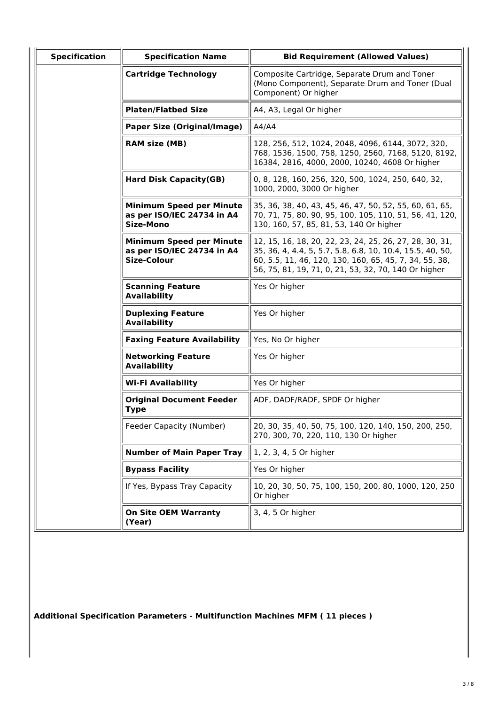| <b>Specification</b> | <b>Specification Name</b>                                                           | <b>Bid Requirement (Allowed Values)</b>                                                                                                                                                                                                |
|----------------------|-------------------------------------------------------------------------------------|----------------------------------------------------------------------------------------------------------------------------------------------------------------------------------------------------------------------------------------|
|                      | <b>Cartridge Technology</b>                                                         | Composite Cartridge, Separate Drum and Toner<br>(Mono Component), Separate Drum and Toner (Dual<br>Component) Or higher                                                                                                                |
|                      | <b>Platen/Flatbed Size</b>                                                          | A4, A3, Legal Or higher                                                                                                                                                                                                                |
|                      | <b>Paper Size (Original/Image)</b>                                                  | A4/A4                                                                                                                                                                                                                                  |
|                      | <b>RAM size (MB)</b>                                                                | 128, 256, 512, 1024, 2048, 4096, 6144, 3072, 320,<br>768, 1536, 1500, 758, 1250, 2560, 7168, 5120, 8192,<br>16384, 2816, 4000, 2000, 10240, 4608 Or higher                                                                             |
|                      | <b>Hard Disk Capacity(GB)</b>                                                       | 0, 8, 128, 160, 256, 320, 500, 1024, 250, 640, 32,<br>1000, 2000, 3000 Or higher                                                                                                                                                       |
|                      | <b>Minimum Speed per Minute</b><br>as per ISO/IEC 24734 in A4<br><b>Size-Mono</b>   | 35, 36, 38, 40, 43, 45, 46, 47, 50, 52, 55, 60, 61, 65,<br>70, 71, 75, 80, 90, 95, 100, 105, 110, 51, 56, 41, 120,<br>130, 160, 57, 85, 81, 53, 140 Or higher                                                                          |
|                      | <b>Minimum Speed per Minute</b><br>as per ISO/IEC 24734 in A4<br><b>Size-Colour</b> | 12, 15, 16, 18, 20, 22, 23, 24, 25, 26, 27, 28, 30, 31,<br>35, 36, 4, 4.4, 5, 5.7, 5.8, 6.8, 10, 10.4, 15.5, 40, 50,<br>60, 5.5, 11, 46, 120, 130, 160, 65, 45, 7, 34, 55, 38,<br>56, 75, 81, 19, 71, 0, 21, 53, 32, 70, 140 Or higher |
|                      | <b>Scanning Feature</b><br><b>Availability</b>                                      | Yes Or higher                                                                                                                                                                                                                          |
|                      | <b>Duplexing Feature</b><br><b>Availability</b>                                     | Yes Or higher                                                                                                                                                                                                                          |
|                      | <b>Faxing Feature Availability</b>                                                  | Yes, No Or higher                                                                                                                                                                                                                      |
|                      | <b>Networking Feature</b><br><b>Availability</b>                                    | Yes Or higher                                                                                                                                                                                                                          |
|                      | Wi-Fi Availability                                                                  | Yes Or higher                                                                                                                                                                                                                          |
|                      | <b>Original Document Feeder</b><br><b>Type</b>                                      | ADF, DADF/RADF, SPDF Or higher                                                                                                                                                                                                         |
|                      | Feeder Capacity (Number)                                                            | 20, 30, 35, 40, 50, 75, 100, 120, 140, 150, 200, 250,<br>270, 300, 70, 220, 110, 130 Or higher                                                                                                                                         |
|                      | <b>Number of Main Paper Tray</b>                                                    | 1, 2, 3, 4, 5 Or higher                                                                                                                                                                                                                |
|                      | <b>Bypass Facility</b>                                                              | Yes Or higher                                                                                                                                                                                                                          |
|                      | If Yes, Bypass Tray Capacity                                                        | 10, 20, 30, 50, 75, 100, 150, 200, 80, 1000, 120, 250<br>Or higher                                                                                                                                                                     |
|                      | <b>On Site OEM Warranty</b><br>(Year)                                               | 3, 4, 5 Or higher                                                                                                                                                                                                                      |

**Additional Specification Parameters - Multifunction Machines MFM ( 11 pieces )**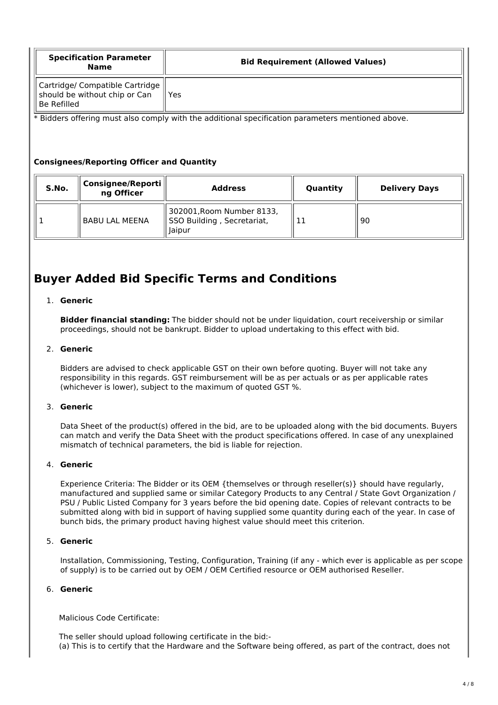| <b>Specification Parameter</b><br><b>Name</b>                                   | <b>Bid Requirement (Allowed Values)</b> |  |
|---------------------------------------------------------------------------------|-----------------------------------------|--|
| Cartridge/ Compatible Cartridge<br>should be without chip or Can<br>Be Refilled | Yes                                     |  |

\* Bidders offering must also comply with the additional specification parameters mentioned above.

### **Consignees/Reporting Officer and Quantity**

| S.No. | Consignee/Reporti<br>ng Officer | <b>Address</b>                                                    | Quantity | <b>Delivery Days</b> |
|-------|---------------------------------|-------------------------------------------------------------------|----------|----------------------|
|       | <b>BABU LAL MEENA</b>           | 302001, Room Number 8133,<br>SSO Building, Secretariat,<br>laipur |          | 90                   |

# **Buyer Added Bid Specific Terms and Conditions**

### 1. **Generic**

**Bidder financial standing:** The bidder should not be under liquidation, court receivership or similar proceedings, should not be bankrupt. Bidder to upload undertaking to this effect with bid.

### 2. **Generic**

Bidders are advised to check applicable GST on their own before quoting. Buyer will not take any responsibility in this regards. GST reimbursement will be as per actuals or as per applicable rates (whichever is lower), subject to the maximum of quoted GST %.

### 3. **Generic**

Data Sheet of the product(s) offered in the bid, are to be uploaded along with the bid documents. Buyers can match and verify the Data Sheet with the product specifications offered. In case of any unexplained mismatch of technical parameters, the bid is liable for rejection.

### 4. **Generic**

Experience Criteria: The Bidder or its OEM {themselves or through reseller(s)} should have regularly, manufactured and supplied same or similar Category Products to any Central / State Govt Organization / PSU / Public Listed Company for 3 years before the bid opening date. Copies of relevant contracts to be submitted along with bid in support of having supplied some quantity during each of the year. In case of bunch bids, the primary product having highest value should meet this criterion.

### 5. **Generic**

Installation, Commissioning, Testing, Configuration, Training (if any - which ever is applicable as per scope of supply) is to be carried out by OEM / OEM Certified resource or OEM authorised Reseller.

### 6. **Generic**

Malicious Code Certificate:

The seller should upload following certificate in the bid:- (a) This is to certify that the Hardware and the Software being offered, as part of the contract, does not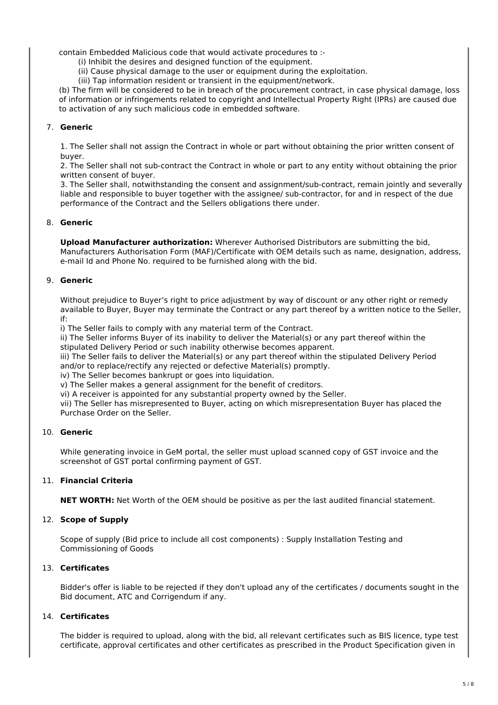contain Embedded Malicious code that would activate procedures to :-

(i) Inhibit the desires and designed function of the equipment.

(ii) Cause physical damage to the user or equipment during the exploitation.

(iii) Tap information resident or transient in the equipment/network.

(b) The firm will be considered to be in breach of the procurement contract, in case physical damage, loss of information or infringements related to copyright and Intellectual Property Right (IPRs) are caused due to activation of any such malicious code in embedded software.

### 7. **Generic**

1. The Seller shall not assign the Contract in whole or part without obtaining the prior written consent of buyer.

2. The Seller shall not sub-contract the Contract in whole or part to any entity without obtaining the prior written consent of buyer.

3. The Seller shall, notwithstanding the consent and assignment/sub-contract, remain jointly and severally liable and responsible to buyer together with the assignee/ sub-contractor, for and in respect of the due performance of the Contract and the Sellers obligations there under.

### 8. **Generic**

**Upload Manufacturer authorization:** Wherever Authorised Distributors are submitting the bid, Manufacturers Authorisation Form (MAF)/Certificate with OEM details such as name, designation, address, e-mail Id and Phone No. required to be furnished along with the bid.

### 9. **Generic**

Without prejudice to Buyer's right to price adjustment by way of discount or any other right or remedy available to Buyer, Buyer may terminate the Contract or any part thereof by a written notice to the Seller, if:

i) The Seller fails to comply with any material term of the Contract.

ii) The Seller informs Buyer of its inability to deliver the Material(s) or any part thereof within the stipulated Delivery Period or such inability otherwise becomes apparent.

iii) The Seller fails to deliver the Material(s) or any part thereof within the stipulated Delivery Period and/or to replace/rectify any rejected or defective Material(s) promptly.

iv) The Seller becomes bankrupt or goes into liquidation.

v) The Seller makes a general assignment for the benefit of creditors.

vi) A receiver is appointed for any substantial property owned by the Seller.

vii) The Seller has misrepresented to Buyer, acting on which misrepresentation Buyer has placed the Purchase Order on the Seller.

### 10. **Generic**

While generating invoice in GeM portal, the seller must upload scanned copy of GST invoice and the screenshot of GST portal confirming payment of GST.

### 11. **Financial Criteria**

**NET WORTH:** Net Worth of the OEM should be positive as per the last audited financial statement.

### 12. **Scope of Supply**

Scope of supply (Bid price to include all cost components) : Supply Installation Testing and Commissioning of Goods

### 13. **Certificates**

Bidder's offer is liable to be rejected if they don't upload any of the certificates / documents sought in the Bid document, ATC and Corrigendum if any.

### 14. **Certificates**

The bidder is required to upload, along with the bid, all relevant certificates such as BIS licence, type test certificate, approval certificates and other certificates as prescribed in the Product Specification given in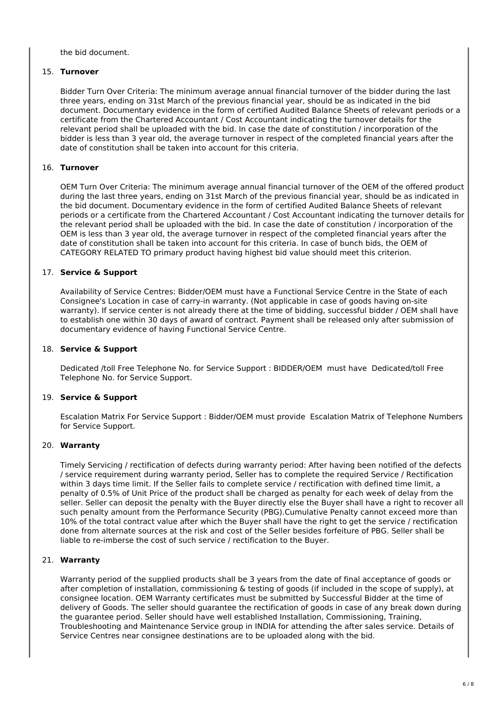the bid document.

### 15. **Turnover**

Bidder Turn Over Criteria: The minimum average annual financial turnover of the bidder during the last three years, ending on 31st March of the previous financial year, should be as indicated in the bid document. Documentary evidence in the form of certified Audited Balance Sheets of relevant periods or a certificate from the Chartered Accountant / Cost Accountant indicating the turnover details for the relevant period shall be uploaded with the bid. In case the date of constitution / incorporation of the bidder is less than 3 year old, the average turnover in respect of the completed financial years after the date of constitution shall be taken into account for this criteria.

### 16. **Turnover**

OEM Turn Over Criteria: The minimum average annual financial turnover of the OEM of the offered product during the last three years, ending on 31st March of the previous financial year, should be as indicated in the bid document. Documentary evidence in the form of certified Audited Balance Sheets of relevant periods or a certificate from the Chartered Accountant / Cost Accountant indicating the turnover details for the relevant period shall be uploaded with the bid. In case the date of constitution / incorporation of the OEM is less than 3 year old, the average turnover in respect of the completed financial years after the date of constitution shall be taken into account for this criteria. In case of bunch bids, the OEM of CATEGORY RELATED TO primary product having highest bid value should meet this criterion.

### 17. **Service & Support**

Availability of Service Centres: Bidder/OEM must have a Functional Service Centre in the State of each Consignee's Location in case of carry-in warranty. (Not applicable in case of goods having on-site warranty). If service center is not already there at the time of bidding, successful bidder / OEM shall have to establish one within 30 days of award of contract. Payment shall be released only after submission of documentary evidence of having Functional Service Centre.

### 18. **Service & Support**

Dedicated /toll Free Telephone No. for Service Support : BIDDER/OEM must have Dedicated/toll Free Telephone No. for Service Support.

### 19. **Service & Support**

Escalation Matrix For Service Support : Bidder/OEM must provide Escalation Matrix of Telephone Numbers for Service Support.

### 20. **Warranty**

Timely Servicing / rectification of defects during warranty period: After having been notified of the defects / service requirement during warranty period, Seller has to complete the required Service / Rectification within 3 days time limit. If the Seller fails to complete service / rectification with defined time limit, a penalty of 0.5% of Unit Price of the product shall be charged as penalty for each week of delay from the seller. Seller can deposit the penalty with the Buyer directly else the Buyer shall have a right to recover all such penalty amount from the Performance Security (PBG).Cumulative Penalty cannot exceed more than 10% of the total contract value after which the Buyer shall have the right to get the service / rectification done from alternate sources at the risk and cost of the Seller besides forfeiture of PBG. Seller shall be liable to re-imberse the cost of such service / rectification to the Buyer.

### 21. **Warranty**

Warranty period of the supplied products shall be 3 years from the date of final acceptance of goods or after completion of installation, commissioning & testing of goods (if included in the scope of supply), at consignee location. OEM Warranty certificates must be submitted by Successful Bidder at the time of delivery of Goods. The seller should guarantee the rectification of goods in case of any break down during the guarantee period. Seller should have well established Installation, Commissioning, Training, Troubleshooting and Maintenance Service group in INDIA for attending the after sales service. Details of Service Centres near consignee destinations are to be uploaded along with the bid.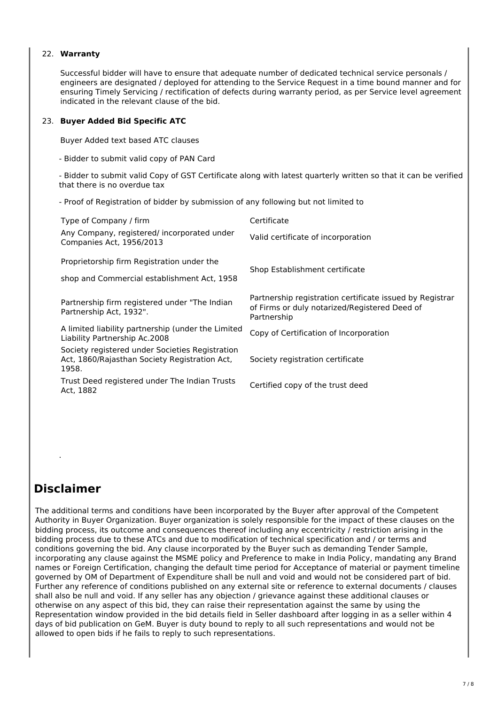### 22. **Warranty**

Successful bidder will have to ensure that adequate number of dedicated technical service personals / engineers are designated / deployed for attending to the Service Request in a time bound manner and for ensuring Timely Servicing / rectification of defects during warranty period, as per Service level agreement indicated in the relevant clause of the bid.

### 23. **Buyer Added Bid Specific ATC**

Buyer Added text based ATC clauses

- Bidder to submit valid copy of PAN Card

- Bidder to submit valid Copy of GST Certificate along with latest quarterly written so that it can be verified that there is no overdue tax

- Proof of Registration of bidder by submission of any following but not limited to

| Type of Company / firm                                                                                    | Certificate                                                                                                              |
|-----------------------------------------------------------------------------------------------------------|--------------------------------------------------------------------------------------------------------------------------|
| Any Company, registered/incorporated under<br>Companies Act, 1956/2013                                    | Valid certificate of incorporation                                                                                       |
| Proprietorship firm Registration under the                                                                | Shop Establishment certificate                                                                                           |
| shop and Commercial establishment Act, 1958                                                               |                                                                                                                          |
| Partnership firm registered under "The Indian"<br>Partnership Act, 1932".                                 | Partnership registration certificate issued by Registrar<br>of Firms or duly notarized/Registered Deed of<br>Partnership |
| A limited liability partnership (under the Limited<br>Liability Partnership Ac.2008                       | Copy of Certification of Incorporation                                                                                   |
| Society registered under Societies Registration<br>Act, 1860/Rajasthan Society Registration Act,<br>1958. | Society registration certificate                                                                                         |
| Trust Deed registered under The Indian Trusts<br>Act, 1882                                                | Certified copy of the trust deed                                                                                         |

## **Disclaimer**

.

The additional terms and conditions have been incorporated by the Buyer after approval of the Competent Authority in Buyer Organization. Buyer organization is solely responsible for the impact of these clauses on the bidding process, its outcome and consequences thereof including any eccentricity / restriction arising in the bidding process due to these ATCs and due to modification of technical specification and / or terms and conditions governing the bid. Any clause incorporated by the Buyer such as demanding Tender Sample, incorporating any clause against the MSME policy and Preference to make in India Policy, mandating any Brand names or Foreign Certification, changing the default time period for Acceptance of material or payment timeline governed by OM of Department of Expenditure shall be null and void and would not be considered part of bid. Further any reference of conditions published on any external site or reference to external documents / clauses shall also be null and void. If any seller has any objection / grievance against these additional clauses or otherwise on any aspect of this bid, they can raise their representation against the same by using the Representation window provided in the bid details field in Seller dashboard after logging in as a seller within 4 days of bid publication on GeM. Buyer is duty bound to reply to all such representations and would not be allowed to open bids if he fails to reply to such representations.